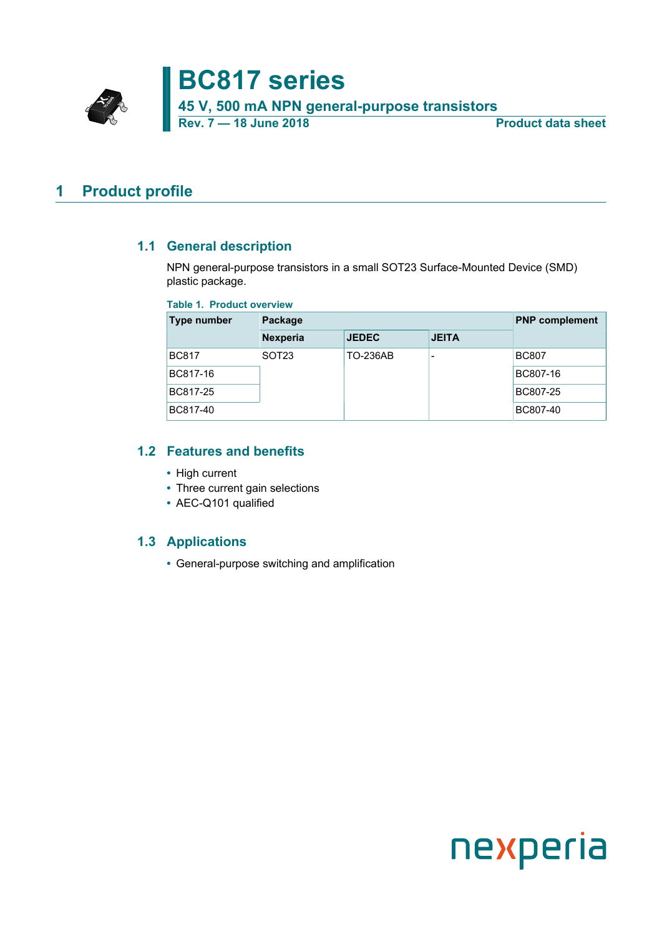**BC817 series**

**45 V, 500 mA NPN general-purpose transistors**

**Rev. 7 — 18 June 2018 Product data sheet**

### <span id="page-0-0"></span>**1 Product profile**

### **1.1 General description**

<span id="page-0-1"></span>NPN general-purpose transistors in a small SOT23 Surface-Mounted Device (SMD) plastic package.

#### **Table 1. Product overview**

| Type number  | Package           | <b>PNP</b> complement |              |              |
|--------------|-------------------|-----------------------|--------------|--------------|
|              | <b>Nexperia</b>   | <b>JEDEC</b>          | <b>JEITA</b> |              |
| <b>BC817</b> | SOT <sub>23</sub> | <b>TO-236AB</b>       |              | <b>BC807</b> |
| BC817-16     |                   |                       |              | BC807-16     |
| BC817-25     |                   |                       |              | BC807-25     |
| BC817-40     |                   |                       |              | BC807-40     |

### **1.2 Features and benefits**

- <span id="page-0-2"></span>**•** High current
- **•** Three current gain selections
- **•** AEC-Q101 qualified

### **1.3 Applications**

<span id="page-0-3"></span>**•** General-purpose switching and amplification

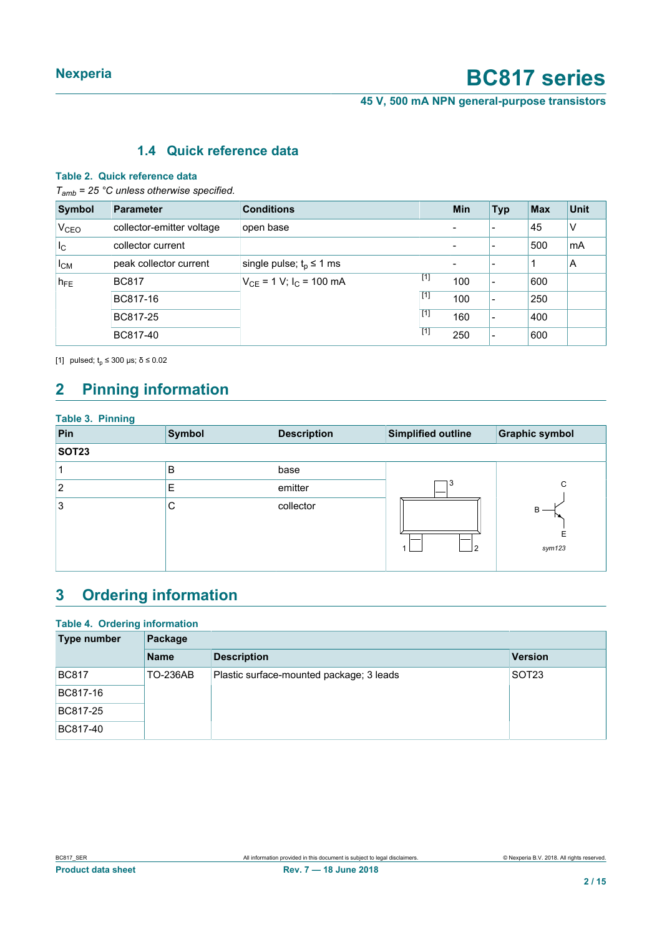**45 V, 500 mA NPN general-purpose transistors**

### <span id="page-1-1"></span><span id="page-1-0"></span>**1.4 Quick reference data**

#### **Table 2. Quick reference data**

*Tamb = 25 °C unless otherwise specified.*

| Symbol           | <b>Parameter</b>          | <b>Conditions</b>              |       | <b>Min</b> | <b>Typ</b>               | <b>Max</b> | <b>Unit</b> |
|------------------|---------------------------|--------------------------------|-------|------------|--------------------------|------------|-------------|
| V <sub>CEO</sub> | collector-emitter voltage | open base                      |       |            |                          | 45         | ٧           |
| $I_{\rm C}$      | collector current         |                                |       |            | $\overline{\phantom{a}}$ | 500        | mA          |
| $I_{CM}$         | peak collector current    | single pulse; $t_p \leq 1$ ms  |       |            | $\overline{\phantom{0}}$ |            | A           |
| $h_{FE}$         | <b>BC817</b>              | $V_{CE}$ = 1 V; $I_C$ = 100 mA | $[1]$ | 100        | -                        | 600        |             |
|                  | BC817-16                  |                                | [1]   | 100        | -                        | 250        |             |
|                  | BC817-25                  |                                | $[1]$ | 160        | $\overline{\phantom{a}}$ | 400        |             |
|                  | BC817-40                  |                                | [1]   | 250        | -                        | 600        |             |

[1] pulsed;  $t_p \le 300$  μs;  $\delta \le 0.02$ 

# <span id="page-1-2"></span>**2 Pinning information**

| <b>Table 3. Pinning</b> |        |                    |                    |                       |
|-------------------------|--------|--------------------|--------------------|-----------------------|
| Pin                     | Symbol | <b>Description</b> | Simplified outline | <b>Graphic symbol</b> |
| <b>SOT23</b>            |        |                    |                    |                       |
|                         | B      | base               |                    |                       |
| 2                       | Е      | emitter            | ۍ                  | C                     |
| Ι3                      | C      | collector          | 2                  | В<br>E<br>sym123      |

# <span id="page-1-3"></span>**3 Ordering information**

### **Table 4. Ordering information**

| Type number  | Package         |                                          |                   |  |  |  |
|--------------|-----------------|------------------------------------------|-------------------|--|--|--|
|              | <b>Name</b>     | <b>Description</b>                       | Version           |  |  |  |
| <b>BC817</b> | <b>TO-236AB</b> | Plastic surface-mounted package; 3 leads | SOT <sub>23</sub> |  |  |  |
| BC817-16     |                 |                                          |                   |  |  |  |
| BC817-25     |                 |                                          |                   |  |  |  |
| BC817-40     |                 |                                          |                   |  |  |  |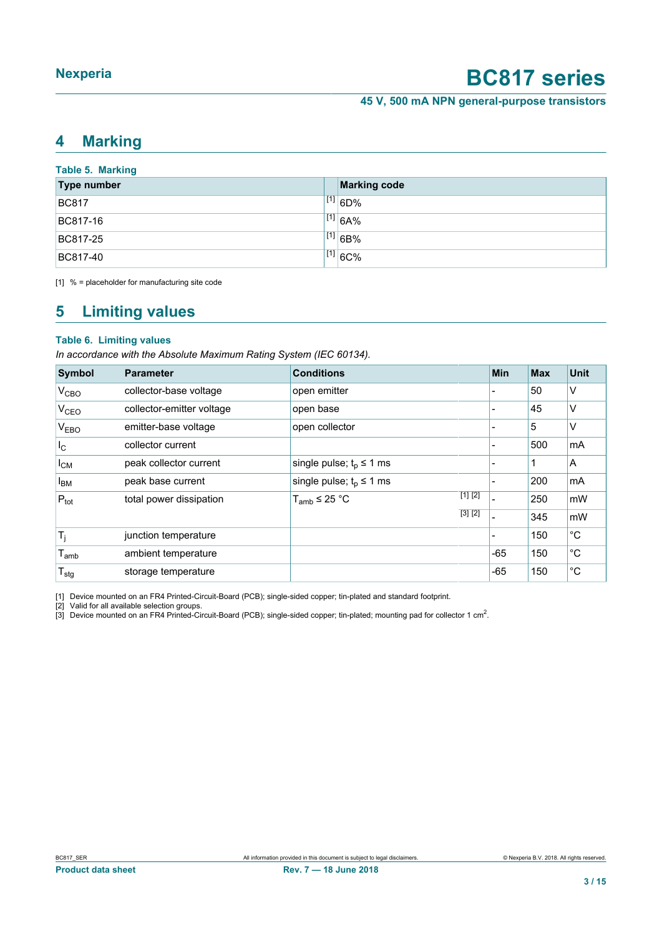**45 V, 500 mA NPN general-purpose transistors**

### <span id="page-2-3"></span><span id="page-2-1"></span><span id="page-2-0"></span>**4 Marking**

<span id="page-2-2"></span>

| <b>Table 5. Marking</b> |  |                     |  |  |  |  |
|-------------------------|--|---------------------|--|--|--|--|
| <b>Type number</b>      |  | <b>Marking code</b> |  |  |  |  |
| <b>BC817</b>            |  | $^{[1]}$ 6D%        |  |  |  |  |
| BC817-16                |  | [1] 6A%             |  |  |  |  |
| BC817-25                |  | [1] 6B%             |  |  |  |  |
| BC817-40                |  | $^{[1]}$ 6C%        |  |  |  |  |

[1] % = placeholder for manufacturing site code

### <span id="page-2-4"></span>**5 Limiting values**

#### **Table 6. Limiting values**

*In accordance with the Absolute Maximum Rating System (IEC 60134).*

| <b>Symbol</b>             | Parameter                 | <b>Conditions</b>               | Min   | <b>Max</b> | <b>Unit</b> |
|---------------------------|---------------------------|---------------------------------|-------|------------|-------------|
| V <sub>CBO</sub>          | collector-base voltage    | open emitter                    | ۳     | 50         | ٧           |
| V <sub>CEO</sub>          | collector-emitter voltage | open base                       |       | 45         | ٧           |
| V <sub>EBO</sub>          | emitter-base voltage      | open collector                  | -     | 5          | ٧           |
| $I_{\rm C}$               | collector current         |                                 | ۰     | 500        | mA          |
| $I_{CM}$                  | peak collector current    | single pulse; $t_0 \leq 1$ ms   | -     | 1          | A           |
| <b>I</b> <sub>BM</sub>    | peak base current         | single pulse; $t_0 \le 1$ ms    | -     | 200        | mA          |
| $P_{\text{tot}}$          | total power dissipation   | [1] [2]<br>$T_{amb} \leq 25 °C$ |       | 250        | mW          |
|                           |                           | [3] [2]                         |       | 345        | mW          |
| $T_j$                     | junction temperature      |                                 | -     | 150        | $^{\circ}C$ |
| $T_{\mathsf{amb}}$        | ambient temperature       |                                 | $-65$ | 150        | $^{\circ}C$ |
| $\mathsf{T}_{\text{stg}}$ | storage temperature       |                                 | $-65$ | 150        | °C          |

[1] Device mounted on an FR4 Printed-Circuit-Board (PCB); single-sided copper; tin-plated and standard footprint.

[2] Valid for all available selection groups.<br>[3] Device mounted on an FR4 Printed-Circuit-Board (PCB); single-sided copper; tin-plated; mounting pad for collector 1 cm<sup>2</sup>.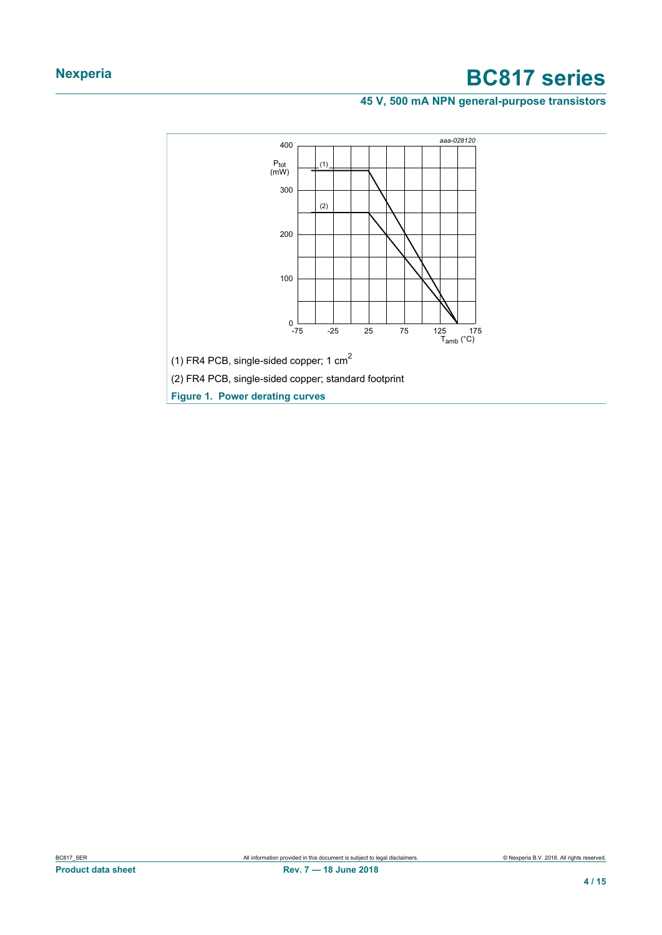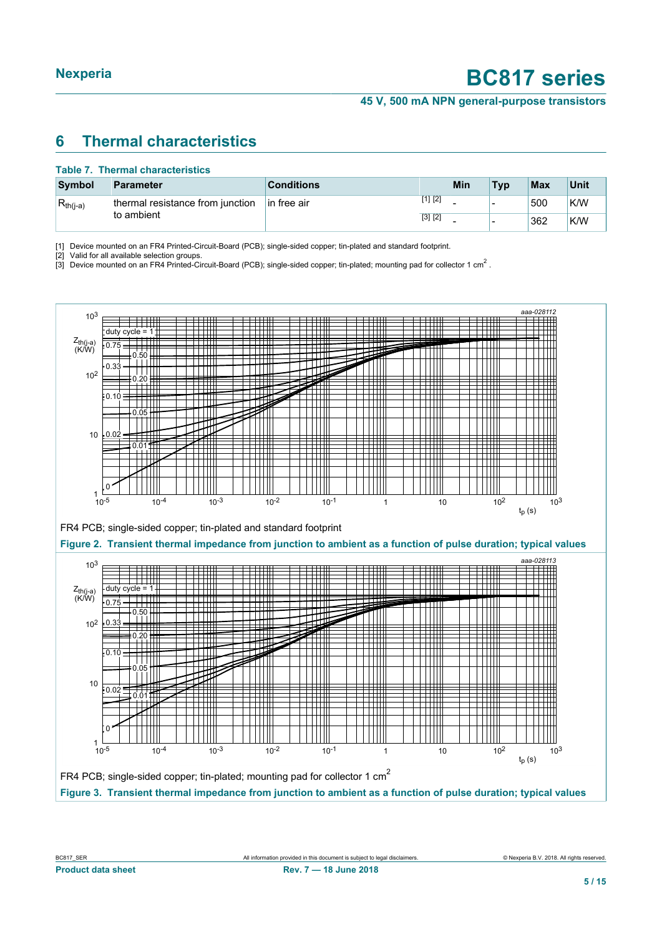**45 V, 500 mA NPN general-purpose transistors**

### <span id="page-4-3"></span><span id="page-4-1"></span><span id="page-4-0"></span>**6 Thermal characteristics**

#### <span id="page-4-2"></span>**Table 7. Thermal characteristics**

| <b>Symbol</b> | Parameter                        | <b>Conditions</b> |         | Min | <b>Typ</b> | <b>Max</b> | Unit |
|---------------|----------------------------------|-------------------|---------|-----|------------|------------|------|
| $R_{th(i-a)}$ | thermal resistance from junction | In free air       | [1] [2] |     |            | 500        | K/W  |
|               | to ambient                       |                   | [3] [2] |     |            | 362        | K/W  |

[1] Device mounted on an FR4 Printed-Circuit-Board (PCB); single-sided copper; tin-plated and standard footprint.<br>[2] Valid for all available selection groups.

Valid for all available selection groups.

[3] Device mounted on an FR4 Printed-Circuit-Board (PCB); single-sided copper; tin-plated; mounting pad for collector 1 cm<sup>2</sup>.

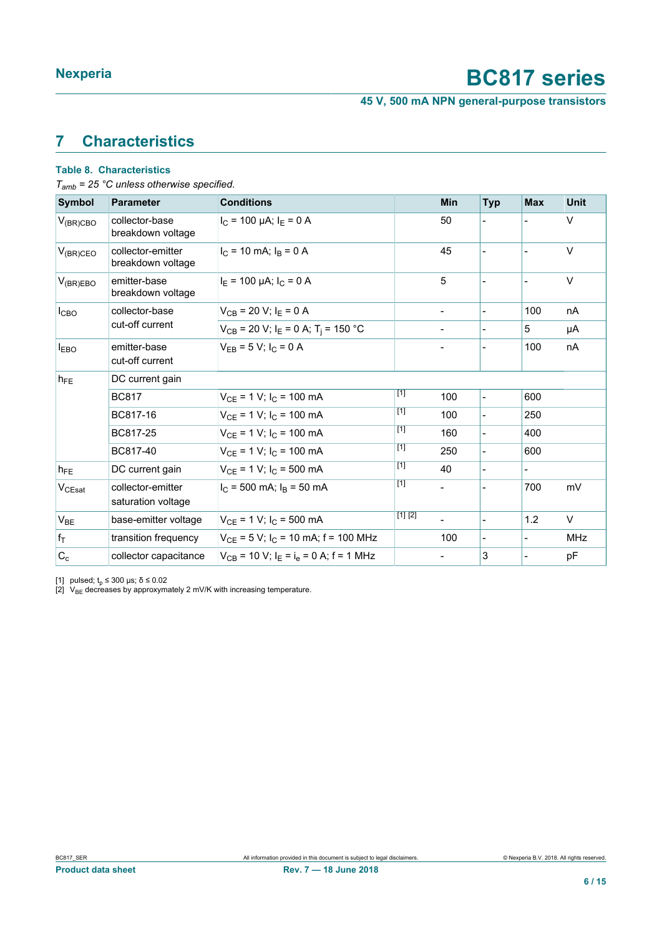**45 V, 500 mA NPN general-purpose transistors**

## <span id="page-5-2"></span><span id="page-5-1"></span><span id="page-5-0"></span>**7 Characteristics**

#### **Table 8. Characteristics**

*Tamb = 25 °C unless otherwise specified.*

| <b>Symbol</b> | <b>Parameter</b>                        | <b>Conditions</b>                                              |         | <b>Min</b>     | <b>Typ</b>               | <b>Max</b>               | <b>Unit</b> |
|---------------|-----------------------------------------|----------------------------------------------------------------|---------|----------------|--------------------------|--------------------------|-------------|
| $V_{(BR)CBO}$ | collector-base<br>breakdown voltage     | $I_C$ = 100 µA; $I_E$ = 0 A                                    |         | 50             |                          |                          | V           |
| $V_{(BR)CEO}$ | collector-emitter<br>breakdown voltage  | $I_C$ = 10 mA; $I_B$ = 0 A                                     |         | 45             |                          |                          | V           |
| $V_{(BR)EBO}$ | emitter-base<br>breakdown voltage       | $I_F$ = 100 µA; $I_C$ = 0 A                                    |         | 5              |                          |                          | V           |
| $I_{CBO}$     | collector-base                          | $V_{CB}$ = 20 V; $I_E$ = 0 A                                   |         |                |                          | 100                      | nA          |
|               | cut-off current                         | $V_{CB}$ = 20 V; I <sub>E</sub> = 0 A; T <sub>i</sub> = 150 °C |         |                |                          | 5                        | μA          |
| <b>IEBO</b>   | emitter-base<br>cut-off current         | $V_{FB} = 5 V$ ; $I_C = 0 A$                                   |         |                |                          | 100                      | nA          |
| $h_{FE}$      | DC current gain                         |                                                                |         |                |                          |                          |             |
|               | <b>BC817</b>                            | $V_{CF}$ = 1 V; $I_C$ = 100 mA                                 | $[1]$   | 100            | $\blacksquare$           | 600                      |             |
|               | BC817-16                                | $V_{CE}$ = 1 V; $I_C$ = 100 mA                                 | $[1]$   | 100            | $\overline{\phantom{a}}$ | 250                      |             |
|               | BC817-25                                | $V_{CF}$ = 1 V; $I_C$ = 100 mA                                 | $[1]$   | 160            | $\blacksquare$           | 400                      |             |
|               | BC817-40                                | $V_{CE}$ = 1 V; $I_C$ = 100 mA                                 | $[1]$   | 250            | $\blacksquare$           | 600                      |             |
| $h_{FE}$      | DC current gain                         | $V_{CE}$ = 1 V; $I_C$ = 500 mA                                 | [1]     | 40             | $\blacksquare$           | $\overline{\phantom{0}}$ |             |
| $V_{CEsat}$   | collector-emitter<br>saturation voltage | $I_C$ = 500 mA; $I_B$ = 50 mA                                  | [1]     |                |                          | 700                      | mV          |
| $V_{BE}$      | base-emitter voltage                    | $V_{CE}$ = 1 V; $I_C$ = 500 mA                                 | [1] [2] | $\overline{a}$ | $\overline{\phantom{a}}$ | 1.2                      | V           |
| $f_T$         | transition frequency                    | $V_{CE}$ = 5 V; I <sub>C</sub> = 10 mA; f = 100 MHz            |         | 100            |                          |                          | <b>MHz</b>  |
| $C_c$         | collector capacitance                   | $V_{CR}$ = 10 V; $I_F = I_A = 0$ A; f = 1 MHz                  |         |                | 3                        |                          | pF          |

[1] pulsed; t<sub>p</sub> ≤ 300 μs; δ ≤ 0.02

[2]  $\sqrt{v_{BE}}$  decreases by approxymately 2 mV/K with increasing temperature.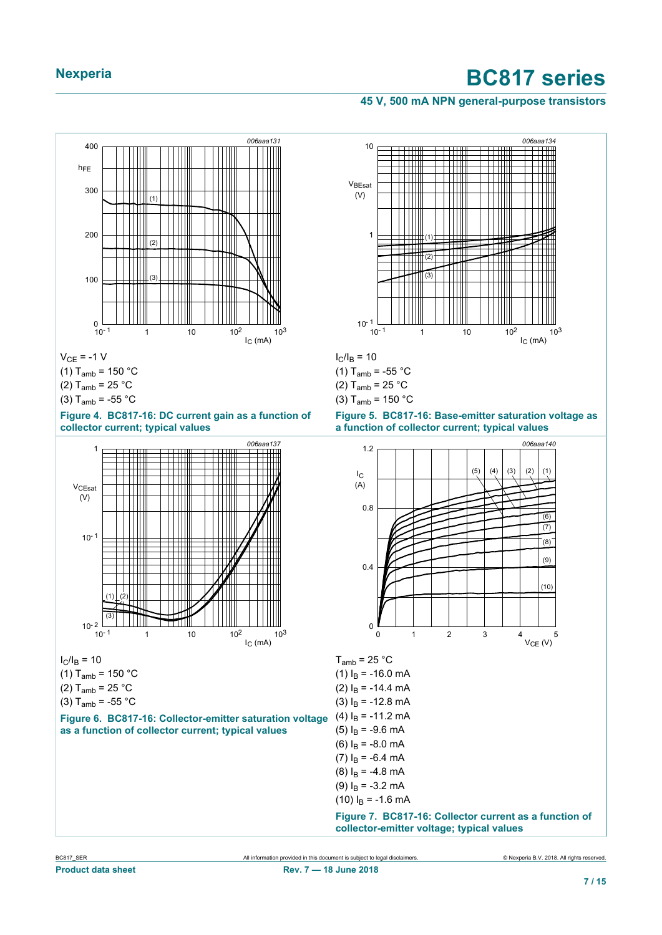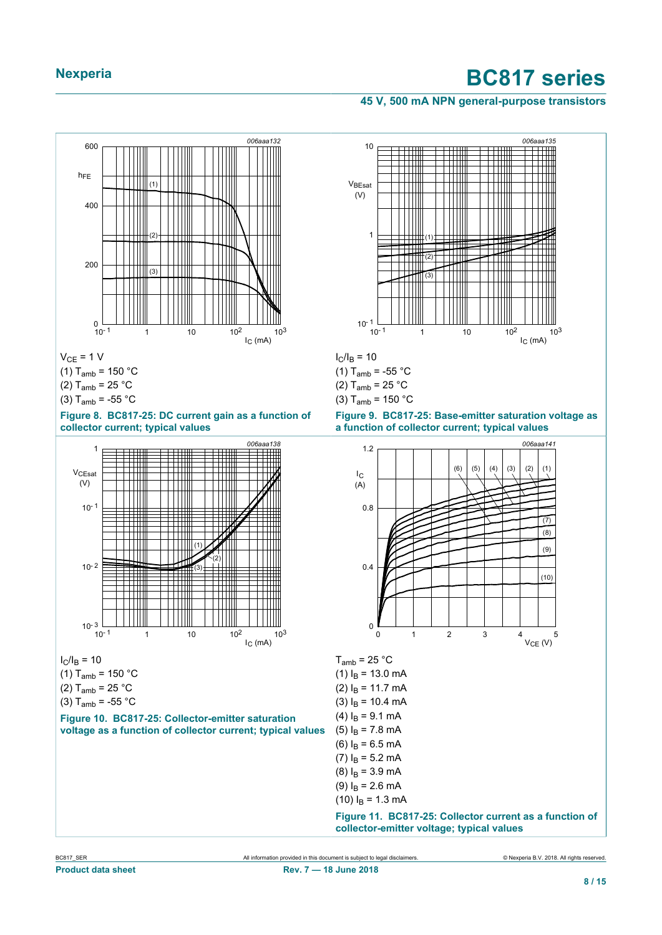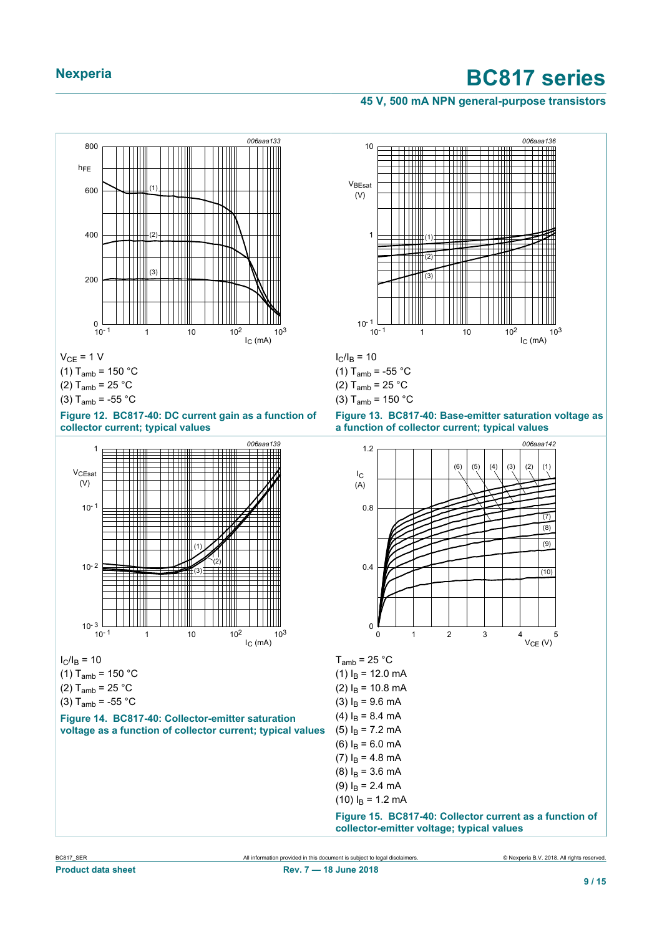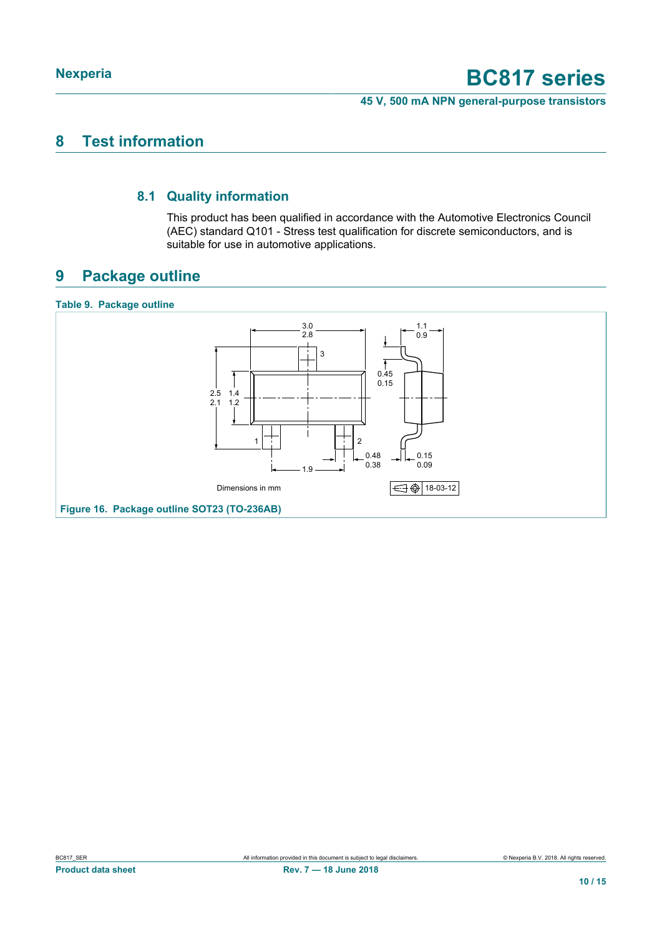**45 V, 500 mA NPN general-purpose transistors**

### <span id="page-9-0"></span>**8 Test information**

### **8.1 Quality information**

<span id="page-9-1"></span>This product has been qualified in accordance with the Automotive Electronics Council (AEC) standard Q101 - Stress test qualification for discrete semiconductors, and is suitable for use in automotive applications.

### <span id="page-9-2"></span>**9 Package outline**

#### **Table 9. Package outline**

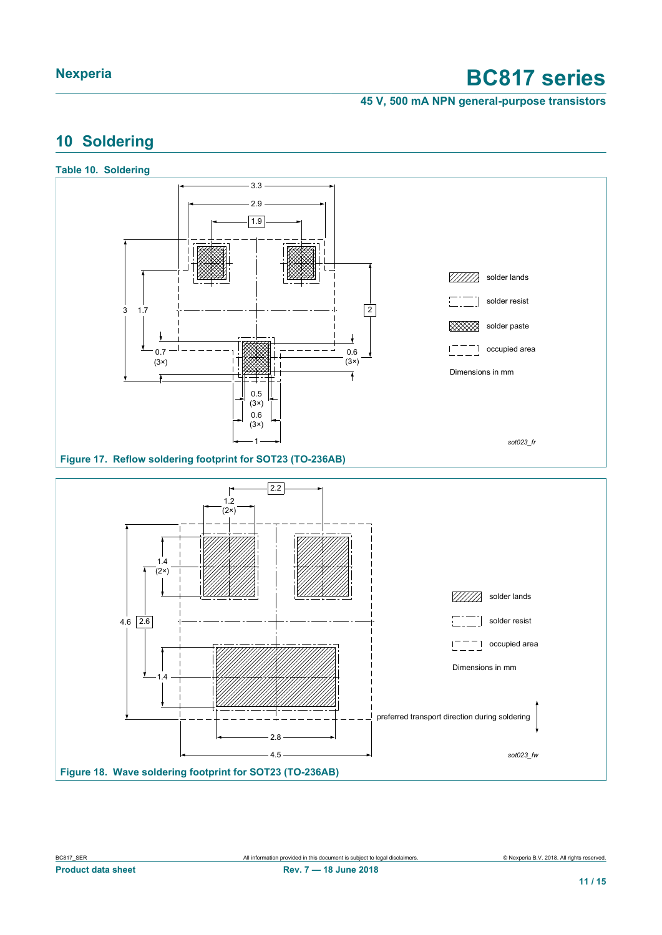**45 V, 500 mA NPN general-purpose transistors**

### <span id="page-10-0"></span>**10 Soldering**

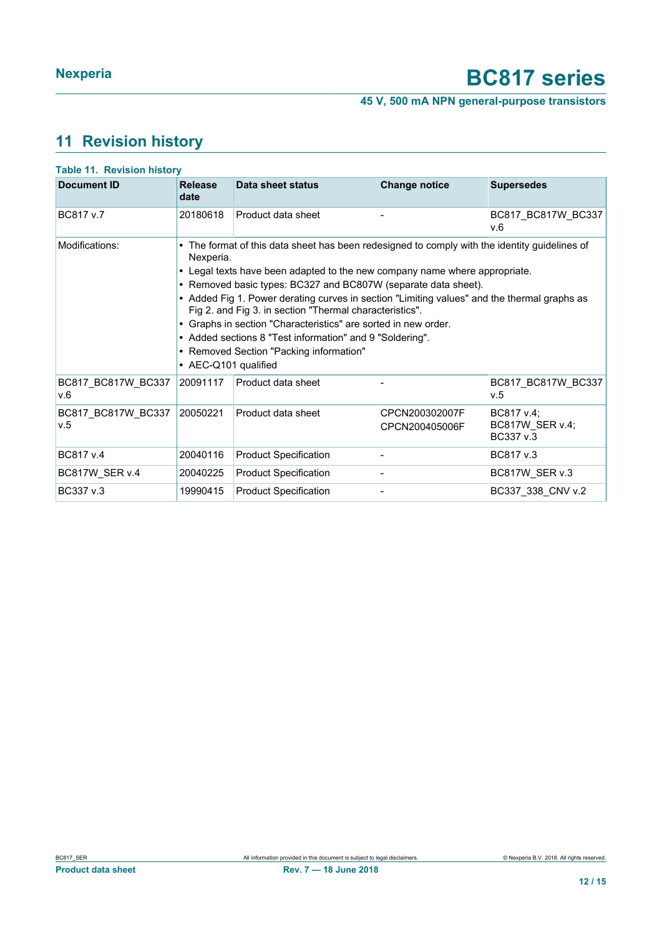**45 V, 500 mA NPN general-purpose transistors**

## <span id="page-11-0"></span>**11 Revision history**

| <b>Document ID</b>        | <b>Release</b>                    | Data sheet status                                                                                                                                                                                                                                                                                                                                                                                                                                                                                                                                                                | <b>Change notice</b>             | <b>Supersedes</b>                          |  |  |
|---------------------------|-----------------------------------|----------------------------------------------------------------------------------------------------------------------------------------------------------------------------------------------------------------------------------------------------------------------------------------------------------------------------------------------------------------------------------------------------------------------------------------------------------------------------------------------------------------------------------------------------------------------------------|----------------------------------|--------------------------------------------|--|--|
|                           | date                              |                                                                                                                                                                                                                                                                                                                                                                                                                                                                                                                                                                                  |                                  |                                            |  |  |
| BC817 v.7                 | 20180618                          | Product data sheet                                                                                                                                                                                                                                                                                                                                                                                                                                                                                                                                                               |                                  | BC817 BC817W BC337<br>V.6                  |  |  |
| Modifications:            | Nexperia.<br>• AEC-Q101 qualified | • The format of this data sheet has been redesigned to comply with the identity guidelines of<br>• Legal texts have been adapted to the new company name where appropriate.<br>• Removed basic types: BC327 and BC807W (separate data sheet).<br>• Added Fig 1. Power derating curves in section "Limiting values" and the thermal graphs as<br>Fig 2. and Fig 3. in section "Thermal characteristics".<br>• Graphs in section "Characteristics" are sorted in new order.<br>• Added sections 8 "Test information" and 9 "Soldering".<br>• Removed Section "Packing information" |                                  |                                            |  |  |
| BC817_BC817W_BC337<br>v.6 | 20091117                          | Product data sheet                                                                                                                                                                                                                                                                                                                                                                                                                                                                                                                                                               |                                  | BC817 BC817W BC337<br>v.5                  |  |  |
| BC817 BC817W BC337<br>v.5 | 20050221                          | Product data sheet                                                                                                                                                                                                                                                                                                                                                                                                                                                                                                                                                               | CPCN200302007F<br>CPCN200405006F | BC817 v.4;<br>BC817W SER v.4;<br>BC337 v.3 |  |  |
| BC817 v.4                 | 20040116                          | <b>Product Specification</b>                                                                                                                                                                                                                                                                                                                                                                                                                                                                                                                                                     |                                  | BC817 v.3                                  |  |  |
| BC817W_SER v.4            | 20040225                          | <b>Product Specification</b>                                                                                                                                                                                                                                                                                                                                                                                                                                                                                                                                                     |                                  | BC817W_SER v.3                             |  |  |
| BC337 v.3                 | 19990415                          | <b>Product Specification</b>                                                                                                                                                                                                                                                                                                                                                                                                                                                                                                                                                     |                                  | BC337 338 CNV v.2                          |  |  |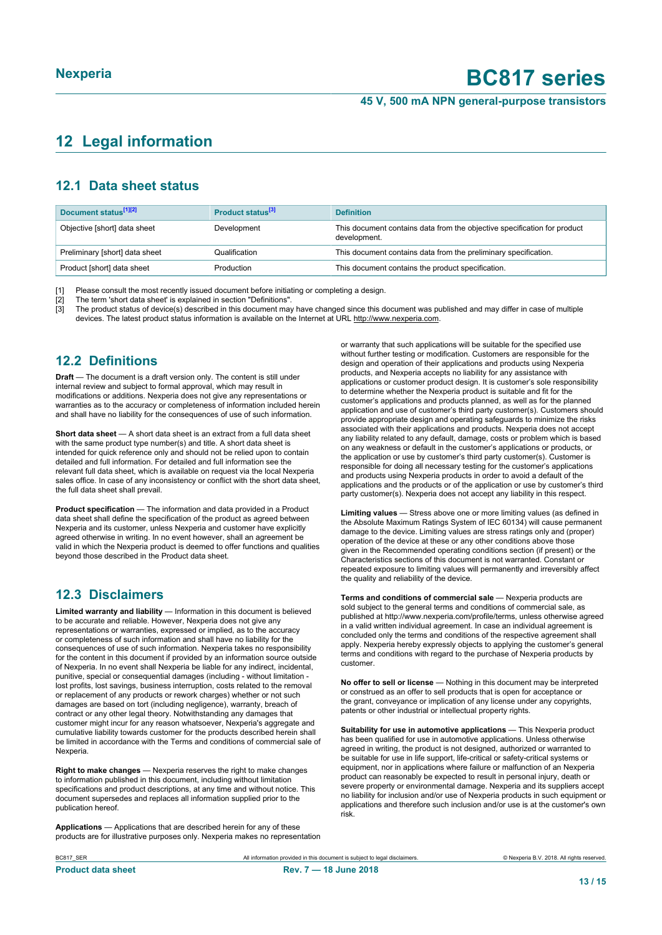#### **45 V, 500 mA NPN general-purpose transistors**

## <span id="page-12-0"></span>**12 Legal information**

### **12.1 Data sheet status**

| Document status <sup>[1][2]</sup> | Product status <sup>[3]</sup> | <b>Definition</b>                                                                        |
|-----------------------------------|-------------------------------|------------------------------------------------------------------------------------------|
| Objective [short] data sheet      | Development                   | This document contains data from the objective specification for product<br>development. |
| Preliminary [short] data sheet    | Qualification                 | This document contains data from the preliminary specification.                          |
| Product [short] data sheet        | Production                    | This document contains the product specification.                                        |

[1] Please consult the most recently issued document before initiating or completing a design.

[2] The term 'short data sheet' is explained in section "Definitions".<br>[3] The product status of device(s) described in this document may

[3] The product status of device(s) described in this document may have changed since this document was published and may differ in case of multiple devices. The latest product status information is available on the Internet at URL http://www.nexperia.com.

### **12.2 Definitions**

**Draft** — The document is a draft version only. The content is still under internal review and subject to formal approval, which may result in modifications or additions. Nexperia does not give any representations or warranties as to the accuracy or completeness of information included herein and shall have no liability for the consequences of use of such information.

**Short data sheet** — A short data sheet is an extract from a full data sheet with the same product type number(s) and title. A short data sheet is intended for quick reference only and should not be relied upon to contain detailed and full information. For detailed and full information see the relevant full data sheet, which is available on request via the local Nexperia sales office. In case of any inconsistency or conflict with the short data sheet, the full data sheet shall prevail.

**Product specification** — The information and data provided in a Product data sheet shall define the specification of the product as agreed between Nexperia and its customer, unless Nexperia and customer have explicitly agreed otherwise in writing. In no event however, shall an agreement be valid in which the Nexperia product is deemed to offer functions and qualities beyond those described in the Product data sheet.

### **12.3 Disclaimers**

**Limited warranty and liability** — Information in this document is believed to be accurate and reliable. However, Nexperia does not give any representations or warranties, expressed or implied, as to the accuracy or completeness of such information and shall have no liability for the consequences of use of such information. Nexperia takes no responsibility for the content in this document if provided by an information source outside of Nexperia. In no event shall Nexperia be liable for any indirect, incidental, punitive, special or consequential damages (including - without limitation lost profits, lost savings, business interruption, costs related to the removal or replacement of any products or rework charges) whether or not such damages are based on tort (including negligence), warranty, breach of contract or any other legal theory. Notwithstanding any damages that customer might incur for any reason whatsoever, Nexperia's aggregate and cumulative liability towards customer for the products described herein shall be limited in accordance with the Terms and conditions of commercial sale of Nexperia.

**Right to make changes** — Nexperia reserves the right to make changes to information published in this document, including without limitation specifications and product descriptions, at any time and without notice. This document supersedes and replaces all information supplied prior to the publication hereof.

**Applications** — Applications that are described herein for any of these products are for illustrative purposes only. Nexperia makes no representation or warranty that such applications will be suitable for the specified use without further testing or modification. Customers are responsible for the design and operation of their applications and products using Nexperia products, and Nexperia accepts no liability for any assistance with applications or customer product design. It is customer's sole responsibility to determine whether the Nexperia product is suitable and fit for the customer's applications and products planned, as well as for the planned application and use of customer's third party customer(s). Customers should provide appropriate design and operating safeguards to minimize the risks associated with their applications and products. Nexperia does not accept any liability related to any default, damage, costs or problem which is based on any weakness or default in the customer's applications or products, or the application or use by customer's third party customer(s). Customer is responsible for doing all necessary testing for the customer's applications and products using Nexperia products in order to avoid a default of the applications and the products or of the application or use by customer's third party customer(s). Nexperia does not accept any liability in this respect.

**Limiting values** — Stress above one or more limiting values (as defined in the Absolute Maximum Ratings System of IEC 60134) will cause permanent damage to the device. Limiting values are stress ratings only and (proper) operation of the device at these or any other conditions above those given in the Recommended operating conditions section (if present) or the Characteristics sections of this document is not warranted. Constant or repeated exposure to limiting values will permanently and irreversibly affect the quality and reliability of the device.

**Terms and conditions of commercial sale** — Nexperia products are sold subject to the general terms and conditions of commercial sale, as published at http://www.nexperia.com/profile/terms, unless otherwise agreed in a valid written individual agreement. In case an individual agreement is concluded only the terms and conditions of the respective agreement shall apply. Nexperia hereby expressly objects to applying the customer's general terms and conditions with regard to the purchase of Nexperia products by customer.

**No offer to sell or license** — Nothing in this document may be interpreted or construed as an offer to sell products that is open for acceptance or the grant, conveyance or implication of any license under any copyrights, patents or other industrial or intellectual property rights.

**Suitability for use in automotive applications** — This Nexperia product has been qualified for use in automotive applications. Unless otherwise agreed in writing, the product is not designed, authorized or warranted to be suitable for use in life support, life-critical or safety-critical systems or equipment, nor in applications where failure or malfunction of an Nexperia product can reasonably be expected to result in personal injury, death or severe property or environmental damage. Nexperia and its suppliers accept no liability for inclusion and/or use of Nexperia products in such equipment or applications and therefore such inclusion and/or use is at the customer's own risk.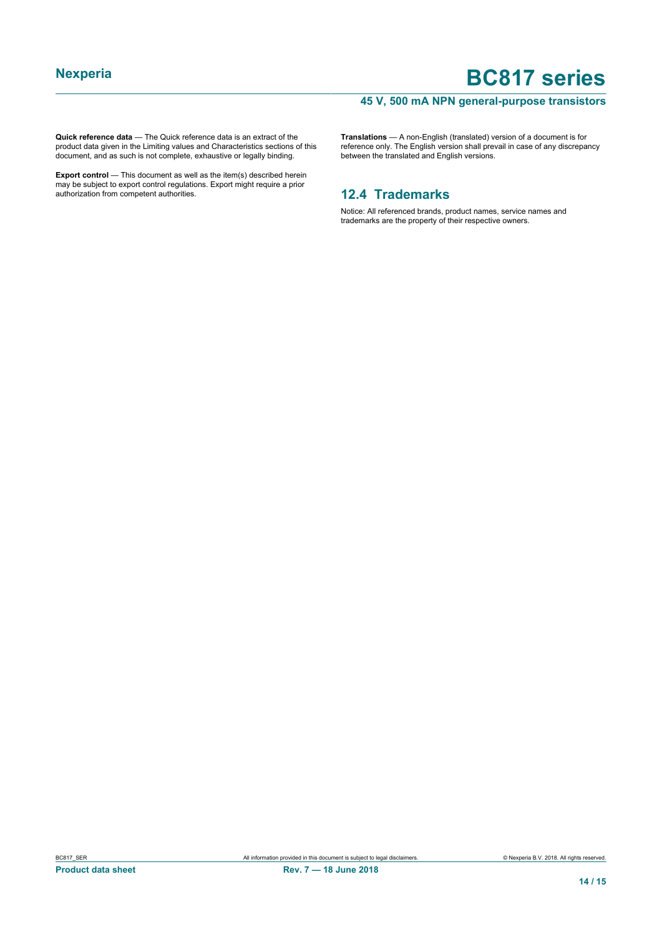### **45 V, 500 mA NPN general-purpose transistors**

**Quick reference data** — The Quick reference data is an extract of the product data given in the Limiting values and Characteristics sections of this document, and as such is not complete, exhaustive or legally binding.

**Export control** — This document as well as the item(s) described herein may be subject to export control regulations. Export might require a prior authorization from competent authorities.

**Translations** — A non-English (translated) version of a document is for reference only. The English version shall prevail in case of any discrepancy between the translated and English versions.

### **12.4 Trademarks**

Notice: All referenced brands, product names, service names and trademarks are the property of their respective owners.